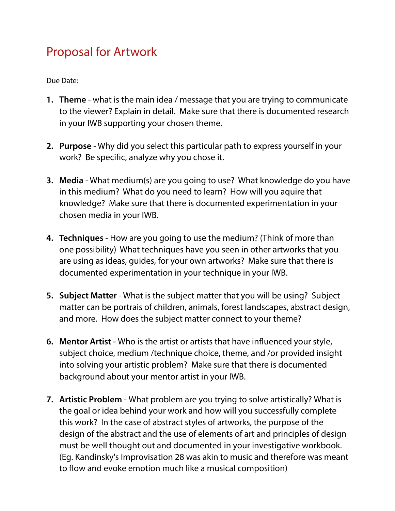## Proposal for Artwork

Due Date:

- **1. Theme** what is the main idea / message that you are trying to communicate to the viewer? Explain in detail. Make sure that there is documented research in your IWB supporting your chosen theme.
- **2. Purpose**  Why did you select this particular path to express yourself in your work? Be specifc, analyze why you chose it.
- **3. Media**  What medium(s) are you going to use? What knowledge do you have in this medium? What do you need to learn? How will you aquire that knowledge? Make sure that there is documented experimentation in your chosen media in your IWB.
- **4. Techniques** How are you going to use the medium? (Think of more than one possibility) What techniques have you seen in other artworks that you are using as ideas, guides, for your own artworks? Make sure that there is documented experimentation in your technique in your IWB.
- **5. Subject Matter** What is the subject matter that you will be using? Subject matter can be portrais of children, animals, forest landscapes, abstract design, and more. How does the subject matter connect to your theme?
- **6. Mentor Artist** Who is the artist or artists that have infuenced your style, subject choice, medium /technique choice, theme, and /or provided insight into solving your artistic problem? Make sure that there is documented background about your mentor artist in your IWB.
- **7. Artistic Problem**  What problem are you trying to solve artistically? What is the goal or idea behind your work and how will you successfully complete this work? In the case of abstract styles of artworks, the purpose of the design of the abstract and the use of elements of art and principles of design must be well thought out and documented in your investigative workbook. (Eg. Kandinsky's Improvisation 28 was akin to music and therefore was meant to flow and evoke emotion much like a musical composition)